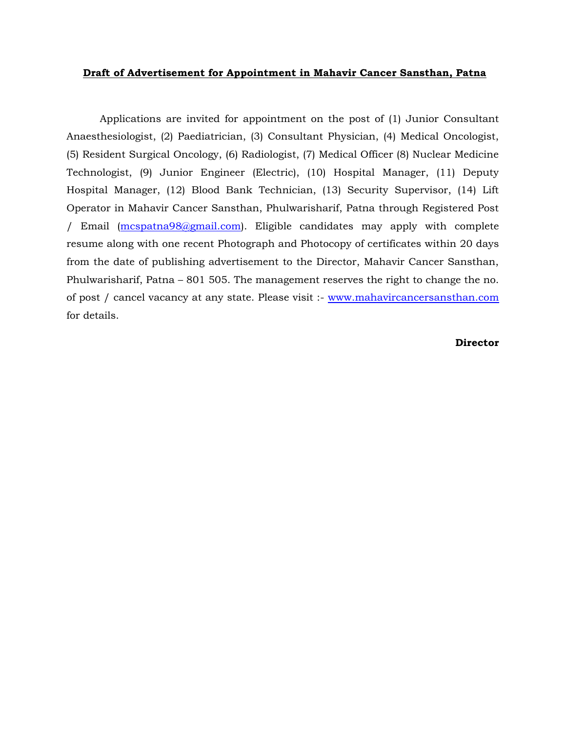## **Draft of Advertisement for Appointment in Mahavir Cancer Sansthan, Patna**

Applications are invited for appointment on the post of (1) Junior Consultant Anaesthesiologist, (2) Paediatrician, (3) Consultant Physician, (4) Medical Oncologist, (5) Resident Surgical Oncology, (6) Radiologist, (7) Medical Officer (8) Nuclear Medicine Technologist, (9) Junior Engineer (Electric), (10) Hospital Manager, (11) Deputy Hospital Manager, (12) Blood Bank Technician, (13) Security Supervisor, (14) Lift Operator in Mahavir Cancer Sansthan, Phulwarisharif, Patna through Registered Post / Email [\(mcspatna98@gmail.com\)](mailto:mcspatna98@gmail.com). Eligible candidates may apply with complete resume along with one recent Photograph and Photocopy of certificates within 20 days from the date of publishing advertisement to the Director, Mahavir Cancer Sansthan, Phulwarisharif, Patna – 801 505. The management reserves the right to change the no. of post / cancel vacancy at any state. Please visit :- [www.mahavircancersansthan.com](http://www.mahavircancersansthan.com/) for details.

## **Director**